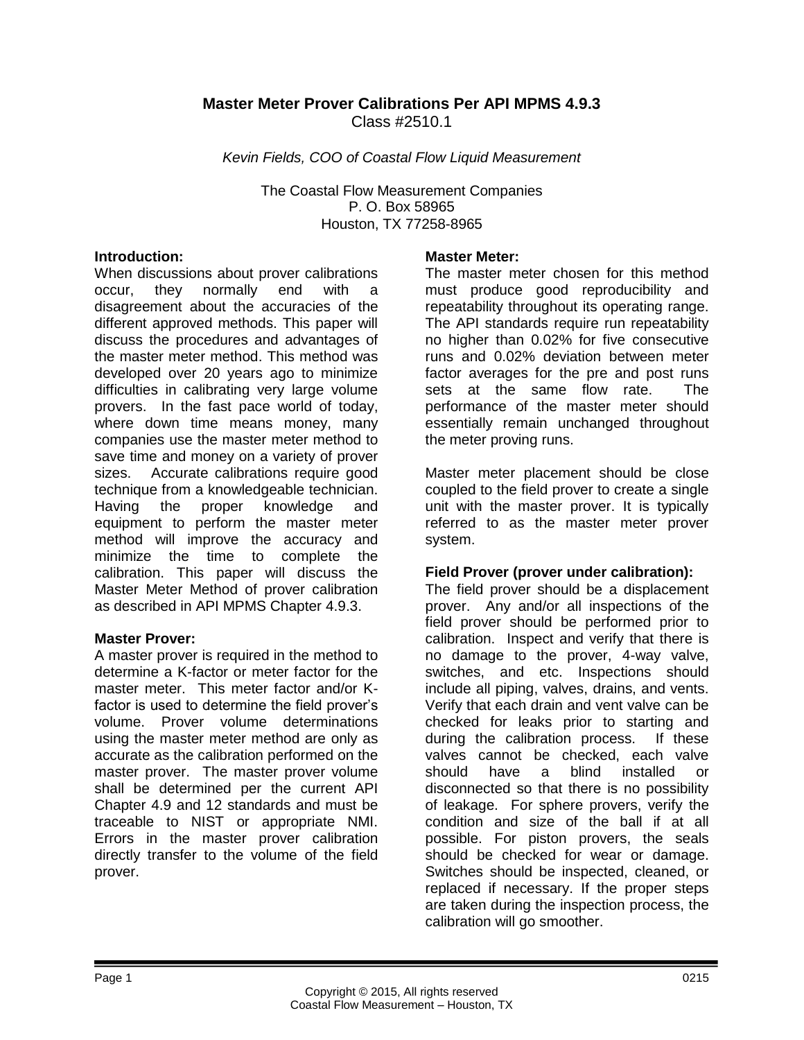# **Master Meter Prover Calibrations Per API MPMS 4.9.3** Class #2510.1

*Kevin Fields, COO of Coastal Flow Liquid Measurement*

The Coastal Flow Measurement Companies P. O. Box 58965 Houston, TX 77258-8965

#### **Introduction:**

When discussions about prover calibrations occur, they normally end with a disagreement about the accuracies of the different approved methods. This paper will discuss the procedures and advantages of the master meter method. This method was developed over 20 years ago to minimize difficulties in calibrating very large volume provers. In the fast pace world of today, where down time means money, many companies use the master meter method to save time and money on a variety of prover sizes. Accurate calibrations require good technique from a knowledgeable technician. Having the proper knowledge and equipment to perform the master meter method will improve the accuracy and minimize the time to complete the calibration. This paper will discuss the Master Meter Method of prover calibration as described in API MPMS Chapter 4.9.3.

### **Master Prover:**

A master prover is required in the method to determine a K-factor or meter factor for the master meter. This meter factor and/or Kfactor is used to determine the field prover's volume. Prover volume determinations using the master meter method are only as accurate as the calibration performed on the master prover. The master prover volume shall be determined per the current API Chapter 4.9 and 12 standards and must be traceable to NIST or appropriate NMI. Errors in the master prover calibration directly transfer to the volume of the field prover.

#### **Master Meter:**

The master meter chosen for this method must produce good reproducibility and repeatability throughout its operating range. The API standards require run repeatability no higher than 0.02% for five consecutive runs and 0.02% deviation between meter factor averages for the pre and post runs sets at the same flow rate. The performance of the master meter should essentially remain unchanged throughout the meter proving runs.

Master meter placement should be close coupled to the field prover to create a single unit with the master prover. It is typically referred to as the master meter prover system.

## **Field Prover (prover under calibration):**

The field prover should be a displacement prover. Any and/or all inspections of the field prover should be performed prior to calibration. Inspect and verify that there is no damage to the prover, 4-way valve, switches, and etc. Inspections should include all piping, valves, drains, and vents. Verify that each drain and vent valve can be checked for leaks prior to starting and during the calibration process. If these valves cannot be checked, each valve should have a blind installed or disconnected so that there is no possibility of leakage. For sphere provers, verify the condition and size of the ball if at all possible. For piston provers, the seals should be checked for wear or damage. Switches should be inspected, cleaned, or replaced if necessary. If the proper steps are taken during the inspection process, the calibration will go smoother.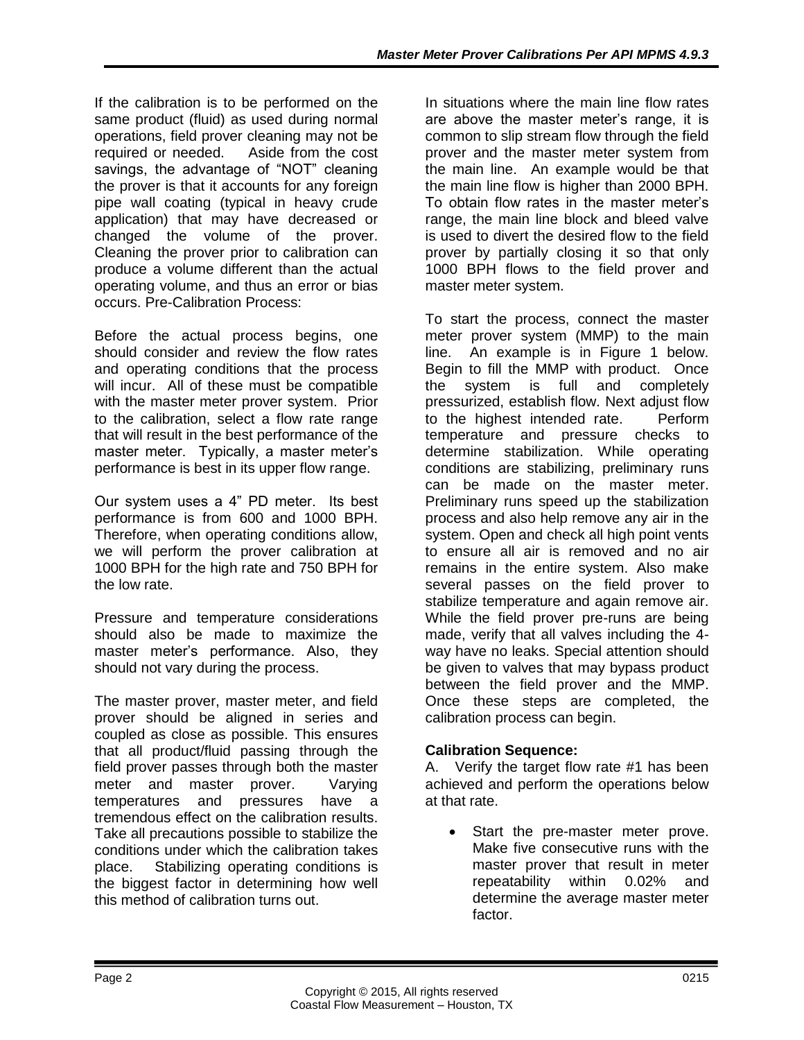If the calibration is to be performed on the same product (fluid) as used during normal operations, field prover cleaning may not be required or needed. Aside from the cost savings, the advantage of "NOT" cleaning the prover is that it accounts for any foreign pipe wall coating (typical in heavy crude application) that may have decreased or changed the volume of the prover. Cleaning the prover prior to calibration can produce a volume different than the actual operating volume, and thus an error or bias occurs. Pre-Calibration Process:

Before the actual process begins, one should consider and review the flow rates and operating conditions that the process will incur. All of these must be compatible with the master meter prover system. Prior to the calibration, select a flow rate range that will result in the best performance of the master meter. Typically, a master meter's performance is best in its upper flow range.

Our system uses a 4" PD meter. Its best performance is from 600 and 1000 BPH. Therefore, when operating conditions allow, we will perform the prover calibration at 1000 BPH for the high rate and 750 BPH for the low rate.

Pressure and temperature considerations should also be made to maximize the master meter's performance. Also, they should not vary during the process.

The master prover, master meter, and field prover should be aligned in series and coupled as close as possible. This ensures that all product/fluid passing through the field prover passes through both the master meter and master prover. Varying temperatures and pressures have a tremendous effect on the calibration results. Take all precautions possible to stabilize the conditions under which the calibration takes place. Stabilizing operating conditions is the biggest factor in determining how well this method of calibration turns out.

In situations where the main line flow rates are above the master meter's range, it is common to slip stream flow through the field prover and the master meter system from the main line. An example would be that the main line flow is higher than 2000 BPH. To obtain flow rates in the master meter's range, the main line block and bleed valve is used to divert the desired flow to the field prover by partially closing it so that only 1000 BPH flows to the field prover and master meter system.

To start the process, connect the master meter prover system (MMP) to the main line. An example is in Figure 1 below. Begin to fill the MMP with product. Once the system is full and completely pressurized, establish flow. Next adjust flow to the highest intended rate. Perform temperature and pressure checks to determine stabilization. While operating conditions are stabilizing, preliminary runs can be made on the master meter. Preliminary runs speed up the stabilization process and also help remove any air in the system. Open and check all high point vents to ensure all air is removed and no air remains in the entire system. Also make several passes on the field prover to stabilize temperature and again remove air. While the field prover pre-runs are being made, verify that all valves including the 4 way have no leaks. Special attention should be given to valves that may bypass product between the field prover and the MMP. Once these steps are completed, the calibration process can begin.

# **Calibration Sequence:**

A. Verify the target flow rate #1 has been achieved and perform the operations below at that rate.

 Start the pre-master meter prove. Make five consecutive runs with the master prover that result in meter repeatability within 0.02% and determine the average master meter factor.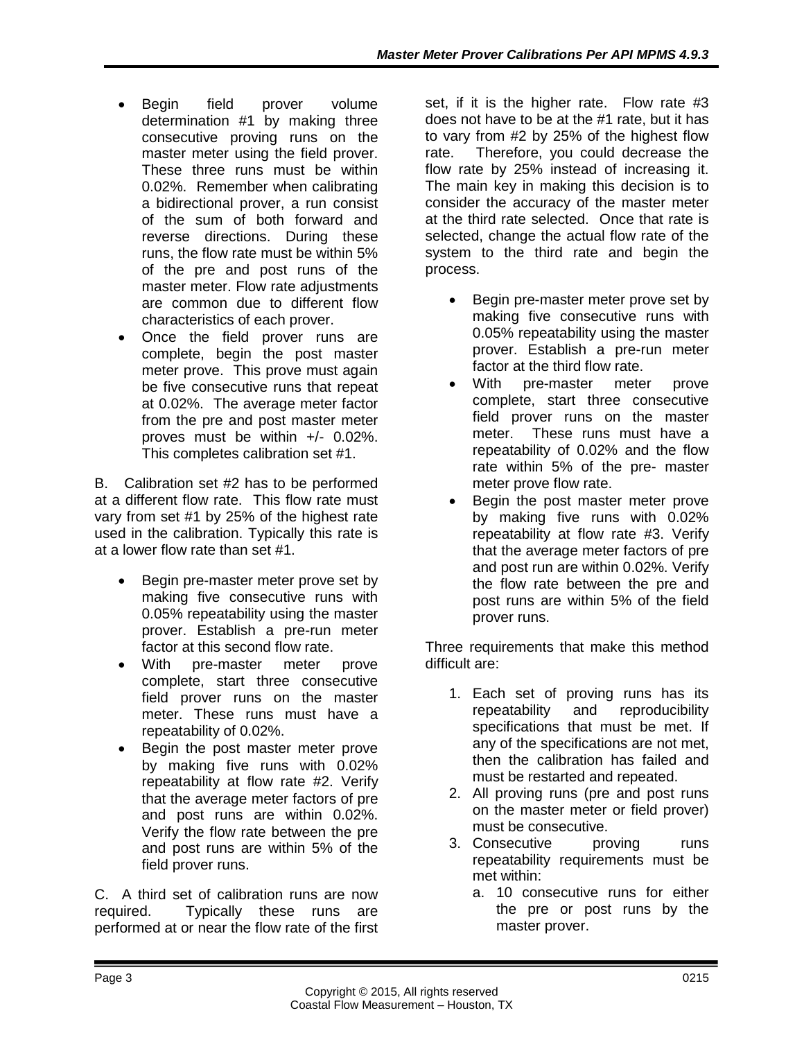- Begin field prover volume determination #1 by making three consecutive proving runs on the master meter using the field prover. These three runs must be within 0.02%. Remember when calibrating a bidirectional prover, a run consist of the sum of both forward and reverse directions. During these runs, the flow rate must be within 5% of the pre and post runs of the master meter. Flow rate adjustments are common due to different flow characteristics of each prover.
- Once the field prover runs are complete, begin the post master meter prove. This prove must again be five consecutive runs that repeat at 0.02%. The average meter factor from the pre and post master meter proves must be within +/- 0.02%. This completes calibration set #1.

B. Calibration set #2 has to be performed at a different flow rate. This flow rate must vary from set #1 by 25% of the highest rate used in the calibration. Typically this rate is at a lower flow rate than set #1.

- Begin pre-master meter prove set by making five consecutive runs with 0.05% repeatability using the master prover. Establish a pre-run meter factor at this second flow rate.
- With pre-master meter prove complete, start three consecutive field prover runs on the master meter. These runs must have a repeatability of 0.02%.
- Begin the post master meter prove by making five runs with 0.02% repeatability at flow rate #2. Verify that the average meter factors of pre and post runs are within 0.02%. Verify the flow rate between the pre and post runs are within 5% of the field prover runs.

C. A third set of calibration runs are now required. Typically these runs are performed at or near the flow rate of the first set, if it is the higher rate. Flow rate #3 does not have to be at the #1 rate, but it has to vary from #2 by 25% of the highest flow rate. Therefore, you could decrease the flow rate by 25% instead of increasing it. The main key in making this decision is to consider the accuracy of the master meter at the third rate selected. Once that rate is selected, change the actual flow rate of the system to the third rate and begin the process.

- Begin pre-master meter prove set by making five consecutive runs with 0.05% repeatability using the master prover. Establish a pre-run meter factor at the third flow rate.
- With pre-master meter prove complete, start three consecutive field prover runs on the master meter. These runs must have a repeatability of 0.02% and the flow rate within 5% of the pre- master meter prove flow rate.
- Begin the post master meter prove by making five runs with 0.02% repeatability at flow rate #3. Verify that the average meter factors of pre and post run are within 0.02%. Verify the flow rate between the pre and post runs are within 5% of the field prover runs.

Three requirements that make this method difficult are:

- 1. Each set of proving runs has its repeatability and reproducibility specifications that must be met. If any of the specifications are not met, then the calibration has failed and must be restarted and repeated.
- 2. All proving runs (pre and post runs on the master meter or field prover) must be consecutive.
- 3. Consecutive proving runs repeatability requirements must be met within:
	- a. 10 consecutive runs for either the pre or post runs by the master prover.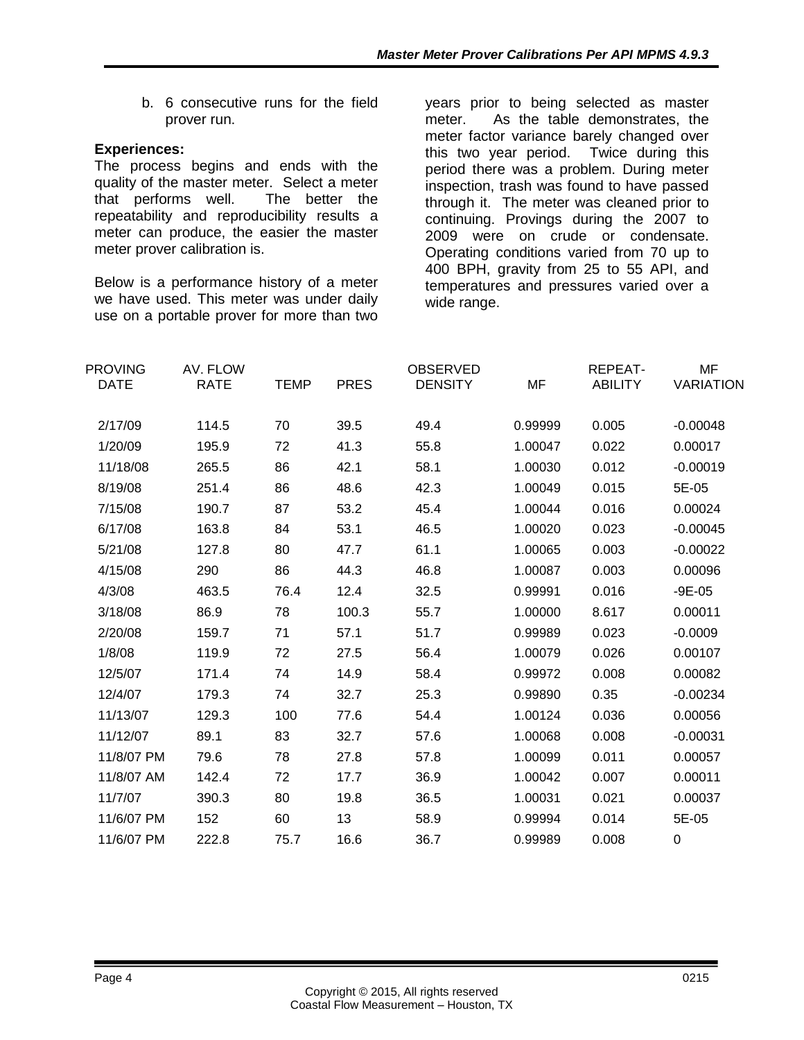b. 6 consecutive runs for the field prover run.

## **Experiences:**

The process begins and ends with the quality of the master meter. Select a meter that performs well. The better the repeatability and reproducibility results a meter can produce, the easier the master meter prover calibration is.

Below is a performance history of a meter we have used. This meter was under daily use on a portable prover for more than two years prior to being selected as master meter. As the table demonstrates, the meter factor variance barely changed over this two year period. Twice during this period there was a problem. During meter inspection, trash was found to have passed through it. The meter was cleaned prior to continuing. Provings during the 2007 to 2009 were on crude or condensate. Operating conditions varied from 70 up to 400 BPH, gravity from 25 to 55 API, and temperatures and pressures varied over a wide range.

| <b>PROVING</b> | AV. FLOW    |             |             | <b>OBSERVED</b> |         | REPEAT-        | MF               |
|----------------|-------------|-------------|-------------|-----------------|---------|----------------|------------------|
| <b>DATE</b>    | <b>RATE</b> | <b>TEMP</b> | <b>PRES</b> | <b>DENSITY</b>  | MF      | <b>ABILITY</b> | <b>VARIATION</b> |
| 2/17/09        | 114.5       | 70          | 39.5        | 49.4            | 0.99999 | 0.005          | $-0.00048$       |
| 1/20/09        | 195.9       | 72          | 41.3        | 55.8            | 1.00047 | 0.022          | 0.00017          |
| 11/18/08       | 265.5       | 86          | 42.1        | 58.1            | 1.00030 | 0.012          | $-0.00019$       |
| 8/19/08        | 251.4       | 86          | 48.6        | 42.3            | 1.00049 | 0.015          | 5E-05            |
| 7/15/08        | 190.7       | 87          | 53.2        | 45.4            | 1.00044 | 0.016          | 0.00024          |
| 6/17/08        | 163.8       | 84          | 53.1        | 46.5            | 1.00020 | 0.023          | $-0.00045$       |
| 5/21/08        | 127.8       | 80          | 47.7        | 61.1            | 1.00065 | 0.003          | $-0.00022$       |
| 4/15/08        | 290         | 86          | 44.3        | 46.8            | 1.00087 | 0.003          | 0.00096          |
| 4/3/08         | 463.5       | 76.4        | 12.4        | 32.5            | 0.99991 | 0.016          | $-9E-05$         |
| 3/18/08        | 86.9        | 78          | 100.3       | 55.7            | 1.00000 | 8.617          | 0.00011          |
| 2/20/08        | 159.7       | 71          | 57.1        | 51.7            | 0.99989 | 0.023          | $-0.0009$        |
| 1/8/08         | 119.9       | 72          | 27.5        | 56.4            | 1.00079 | 0.026          | 0.00107          |
| 12/5/07        | 171.4       | 74          | 14.9        | 58.4            | 0.99972 | 0.008          | 0.00082          |
| 12/4/07        | 179.3       | 74          | 32.7        | 25.3            | 0.99890 | 0.35           | $-0.00234$       |
| 11/13/07       | 129.3       | 100         | 77.6        | 54.4            | 1.00124 | 0.036          | 0.00056          |
| 11/12/07       | 89.1        | 83          | 32.7        | 57.6            | 1.00068 | 0.008          | $-0.00031$       |
| 11/8/07 PM     | 79.6        | 78          | 27.8        | 57.8            | 1.00099 | 0.011          | 0.00057          |
| 11/8/07 AM     | 142.4       | 72          | 17.7        | 36.9            | 1.00042 | 0.007          | 0.00011          |
| 11/7/07        | 390.3       | 80          | 19.8        | 36.5            | 1.00031 | 0.021          | 0.00037          |
| 11/6/07 PM     | 152         | 60          | 13          | 58.9            | 0.99994 | 0.014          | 5E-05            |
| 11/6/07 PM     | 222.8       | 75.7        | 16.6        | 36.7            | 0.99989 | 0.008          | 0                |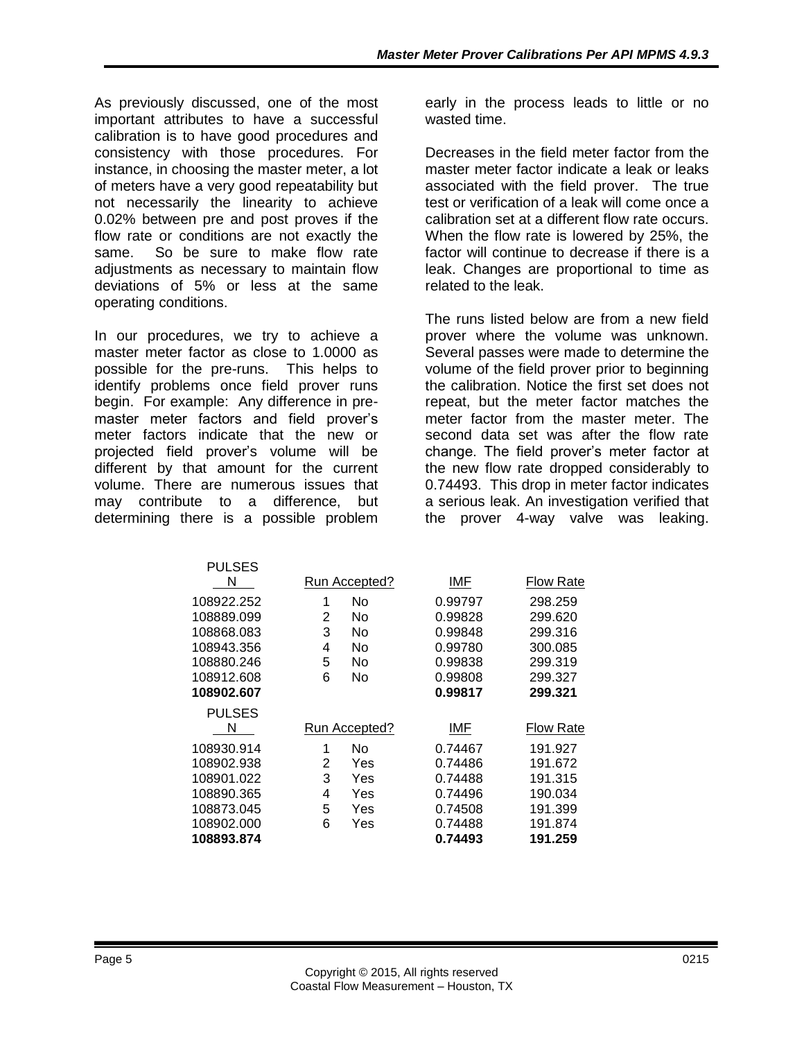As previously discussed, one of the most important attributes to have a successful calibration is to have good procedures and consistency with those procedures. For instance, in choosing the master meter, a lot of meters have a very good repeatability but not necessarily the linearity to achieve 0.02% between pre and post proves if the flow rate or conditions are not exactly the same. So be sure to make flow rate adjustments as necessary to maintain flow deviations of 5% or less at the same operating conditions.

In our procedures, we try to achieve a master meter factor as close to 1.0000 as possible for the pre-runs. This helps to identify problems once field prover runs begin. For example: Any difference in premaster meter factors and field prover's meter factors indicate that the new or projected field prover's volume will be different by that amount for the current volume. There are numerous issues that may contribute to a difference, but determining there is a possible problem

**PULSES** 

early in the process leads to little or no wasted time.

Decreases in the field meter factor from the master meter factor indicate a leak or leaks associated with the field prover. The true test or verification of a leak will come once a calibration set at a different flow rate occurs. When the flow rate is lowered by 25%, the factor will continue to decrease if there is a leak. Changes are proportional to time as related to the leak.

The runs listed below are from a new field prover where the volume was unknown. Several passes were made to determine the volume of the field prover prior to beginning the calibration. Notice the first set does not repeat, but the meter factor matches the meter factor from the master meter. The second data set was after the flow rate change. The field prover's meter factor at the new flow rate dropped considerably to 0.74493. This drop in meter factor indicates a serious leak. An investigation verified that the prover 4-way valve was leaking.

| ר ט∟ט∟ט       |   |               |         |                  |
|---------------|---|---------------|---------|------------------|
| N             |   | Run Accepted? | IMF     | <b>Flow Rate</b> |
| 108922.252    | 1 | No            | 0.99797 | 298.259          |
| 108889.099    | 2 | No            | 0.99828 | 299.620          |
| 108868.083    | 3 | No            | 0.99848 | 299.316          |
| 108943.356    | 4 | No            | 0.99780 | 300.085          |
| 108880.246    | 5 | No            | 0.99838 | 299.319          |
| 108912.608    | 6 | No            | 0.99808 | 299.327          |
| 108902.607    |   |               | 0.99817 | 299.321          |
| <b>PULSES</b> |   |               |         |                  |
| N             |   | Run Accepted? | IMF     | <b>Flow Rate</b> |
| 108930.914    | 1 | No            | 0.74467 | 191.927          |
| 108902.938    | 2 | Yes           | 0.74486 | 191.672          |
| 108901.022    | 3 | Yes           | 0.74488 | 191.315          |
| 108890.365    | 4 | Yes           | 0.74496 | 190.034          |
| 108873.045    | 5 | Yes           | 0.74508 | 191.399          |
| 108902.000    | 6 | Yes           | 0.74488 | 191.874          |
| 108893.874    |   |               | 0.74493 | 191.259          |